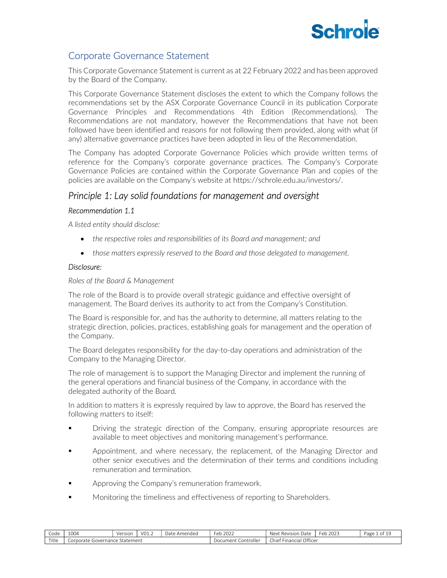# **Schrole**

# Corporate Governance Statement

This Corporate Governance Statement is current as at 22 February 2022 and has been approved by the Board of the Company.

This Corporate Governance Statement discloses the extent to which the Company follows the recommendations set by the ASX Corporate Governance Council in its publication Corporate Governance Principles and Recommendations 4th Edition (Recommendations). The Recommendations are not mandatory, however the Recommendations that have not been followed have been identified and reasons for not following them provided, along with what (if any) alternative governance practices have been adopted in lieu of the Recommendation.

The Company has adopted Corporate Governance Policies which provide written terms of reference for the Company's corporate governance practices. The Company's Corporate Governance Policies are contained within the Corporate Governance Plan and copies of the policies are available on the Company's website at https://schrole.edu.au/investors/.

# Principle 1: Lay solid foundations for management and oversight

# Recommendation 1.1

A listed entity should disclose:

- the respective roles and responsibilities of its Board and management; and
- those matters expressly reserved to the Board and those delegated to management.

# Disclosure:

Roles of the Board & Management

The role of the Board is to provide overall strategic guidance and effective oversight of management. The Board derives its authority to act from the Company's Constitution.

The Board is responsible for, and has the authority to determine, all matters relating to the strategic direction, policies, practices, establishing goals for management and the operation of the Company.

The Board delegates responsibility for the day-to-day operations and administration of the Company to the Managing Director.

The role of management is to support the Managing Director and implement the running of the general operations and financial business of the Company, in accordance with the delegated authority of the Board.

In addition to matters it is expressly required by law to approve, the Board has reserved the following matters to itself:

- Driving the strategic direction of the Company, ensuring appropriate resources are available to meet objectives and monitoring management's performance.
- Appointment, and where necessary, the replacement, of the Managing Director and other senior executives and the determination of their terms and conditions including remuneration and termination.
- **Example 2** Approving the Company's remuneration framework.
- Monitoring the timeliness and effectiveness of reporting to Shareholders.

| $\sim$<br>Code | 1004                                | Version | $\cdot$ VO1.2 | Date<br>Amendeg | 2022<br>Feb                  | -<br>Next<br>Date<br>Revision          | 2023<br>Feb | Page<br>n n |
|----------------|-------------------------------------|---------|---------------|-----------------|------------------------------|----------------------------------------|-------------|-------------|
| Title          | Statement<br>orporate<br>Governance |         |               |                 | .ontroller<br>Document<br>◡◡ | Office<br>$-1$<br>' hiefت<br>Financici |             |             |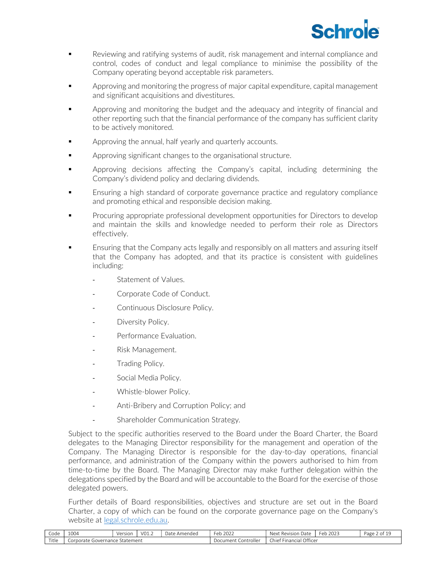

- Reviewing and ratifying systems of audit, risk management and internal compliance and control, codes of conduct and legal compliance to minimise the possibility of the Company operating beyond acceptable risk parameters.
- **EXECT** Approving and monitoring the progress of major capital expenditure, capital management and significant acquisitions and divestitures.
- Approving and monitoring the budget and the adequacy and integrity of financial and other reporting such that the financial performance of the company has sufficient clarity to be actively monitored.
- **EXECT** Approving the annual, half yearly and quarterly accounts.
- **EXECUTE:** Approving significant changes to the organisational structure.
- Approving decisions affecting the Company's capital, including determining the Company's dividend policy and declaring dividends.
- Ensuring a high standard of corporate governance practice and regulatory compliance and promoting ethical and responsible decision making.
- Procuring appropriate professional development opportunities for Directors to develop and maintain the skills and knowledge needed to perform their role as Directors effectively.
- Ensuring that the Company acts legally and responsibly on all matters and assuring itself that the Company has adopted, and that its practice is consistent with guidelines including:
	- Statement of Values.
	- Corporate Code of Conduct.
	- Continuous Disclosure Policy.
	- Diversity Policy.
	- Performance Evaluation.
	- Risk Management.
	- Trading Policy.
	- Social Media Policy.
	- Whistle-blower Policy.
	- Anti-Bribery and Corruption Policy; and
	- Shareholder Communication Strategy.

Subject to the specific authorities reserved to the Board under the Board Charter, the Board delegates to the Managing Director responsibility for the management and operation of the Company. The Managing Director is responsible for the day-to-day operations, financial performance, and administration of the Company within the powers authorised to him from time-to-time by the Board. The Managing Director may make further delegation within the delegations specified by the Board and will be accountable to the Board for the exercise of those delegated powers.

Further details of Board responsibilities, objectives and structure are set out in the Board Charter, a copy of which can be found on the corporate governance page on the Company's website at legal.schrole.edu.au.

| Code  | 100<br>⊥UU4                            | Version | $\sim$<br>' VUI.∠ | Date<br>Amended | 2022<br>$\overline{ }$<br>⊢er<br>. | -<br>Next<br>، Date<br>. Revision    | 2023<br>Fer<br>cν | Page<br>0T |
|-------|----------------------------------------|---------|-------------------|-----------------|------------------------------------|--------------------------------------|-------------------|------------|
| Title | ' Statement<br>Corporate<br>Governance |         |                   |                 | Controller<br>Document             | Officer<br>Jhiet<br><b>Financial</b> |                   |            |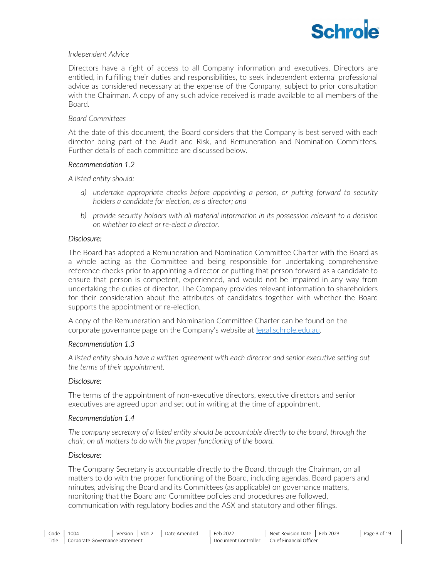

### Independent Advice

Directors have a right of access to all Company information and executives. Directors are entitled, in fulfilling their duties and responsibilities, to seek independent external professional advice as considered necessary at the expense of the Company, subject to prior consultation with the Chairman. A copy of any such advice received is made available to all members of the Board.

### Board Committees

At the date of this document, the Board considers that the Company is best served with each director being part of the Audit and Risk, and Remuneration and Nomination Committees. Further details of each committee are discussed below.

# Recommendation 1.2

A listed entity should:

- a) undertake appropriate checks before appointing a person, or putting forward to security holders a candidate for election, as a director; and
- b) provide security holders with all material information in its possession relevant to a decision on whether to elect or re-elect a director.

# Disclosure:

The Board has adopted a Remuneration and Nomination Committee Charter with the Board as a whole acting as the Committee and being responsible for undertaking comprehensive reference checks prior to appointing a director or putting that person forward as a candidate to ensure that person is competent, experienced, and would not be impaired in any way from undertaking the duties of director. The Company provides relevant information to shareholders for their consideration about the attributes of candidates together with whether the Board supports the appointment or re-election.

A copy of the Remuneration and Nomination Committee Charter can be found on the corporate governance page on the Company's website at legal.schrole.edu.au.

# Recommendation 1.3

A listed entity should have a written agreement with each director and senior executive setting out the terms of their appointment.

# Disclosure:

The terms of the appointment of non-executive directors, executive directors and senior executives are agreed upon and set out in writing at the time of appointment.

# Recommendation 1.4

The company secretary of a listed entity should be accountable directly to the board, through the chair, on all matters to do with the proper functioning of the board.

#### Disclosure:

The Company Secretary is accountable directly to the Board, through the Chairman, on all matters to do with the proper functioning of the Board, including agendas, Board papers and minutes, advising the Board and its Committees (as applicable) on governance matters, monitoring that the Board and Committee policies and procedures are followed, communication with regulatory bodies and the ASX and statutory and other filings.

| Code  | 1004                           | Version     | V01.2 | Date Amended | $\sim$ $\sim$ $\sim$<br>Feb<br>2022 | <b>Next</b><br>Date<br>$\mathbf{12}$<br>zision.<br>Rev | 2022<br>Eer<br>ZUZJ<br>◡ | Page<br>--<br>ا ک ک<br>. |
|-------|--------------------------------|-------------|-------|--------------|-------------------------------------|--------------------------------------------------------|--------------------------|--------------------------|
| Title | orporate<br>sovernance '<br>◡◡ | : Statement |       |              | Controller<br>Document              | Financial Officer<br>hie†                              |                          |                          |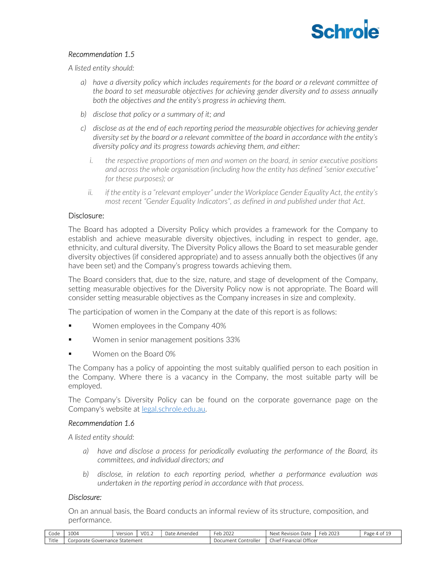

# Recommendation 1.5

A listed entity should:

- a) have a diversity policy which includes requirements for the board or a relevant committee of the board to set measurable objectives for achieving gender diversity and to assess annually both the objectives and the entity's progress in achieving them.
- b) disclose that policy or a summary of it; and
- c) disclose as at the end of each reporting period the measurable objectives for achieving gender diversity set by the board or a relevant committee of the board in accordance with the entity's diversity policy and its progress towards achieving them, and either:
	- i. the respective proportions of men and women on the board, in senior executive positions and across the whole organisation (including how the entity has defined "senior executive" for these purposes); or
	- ii. if the entity is a "relevant employer" under the Workplace Gender Equality Act, the entity's most recent "Gender Equality Indicators", as defined in and published under that Act.

#### Disclosure:

The Board has adopted a Diversity Policy which provides a framework for the Company to establish and achieve measurable diversity objectives, including in respect to gender, age, ethnicity, and cultural diversity. The Diversity Policy allows the Board to set measurable gender diversity objectives (if considered appropriate) and to assess annually both the objectives (if any have been set) and the Company's progress towards achieving them.

The Board considers that, due to the size, nature, and stage of development of the Company, setting measurable objectives for the Diversity Policy now is not appropriate. The Board will consider setting measurable objectives as the Company increases in size and complexity.

The participation of women in the Company at the date of this report is as follows:

- Women employees in the Company 40%
- Women in senior management positions 33%
- Women on the Board 0%

The Company has a policy of appointing the most suitably qualified person to each position in the Company. Where there is a vacancy in the Company, the most suitable party will be employed.

The Company's Diversity Policy can be found on the corporate governance page on the Company's website at legal.schrole.edu.au.

#### Recommendation 1.6

A listed entity should:

- a) have and disclose a process for periodically evaluating the performance of the Board, its committees, and individual directors; and
- b) disclose, in relation to each reporting period, whether a performance evaluation was undertaken in the reporting period in accordance with that process.

### Disclosure:

On an annual basis, the Board conducts an informal review of its structure, composition, and performance.

| -<br>Code | 1004                                 | Versior | VO1.2 | Date.<br>Amended | 2022<br>-ob-<br>◡                    | Date<br>Next<br>Revision       | 202<br>$\sim$<br>Feb<br>ZUZ3 | Page 4<br>OT. |
|-----------|--------------------------------------|---------|-------|------------------|--------------------------------------|--------------------------------|------------------------------|---------------|
| Title     | Statement<br>Governance<br>.orporate |         |       |                  | .ontroller<br>Jocument<br>. <i>.</i> | Officer<br>Chiet.<br>Financial |                              |               |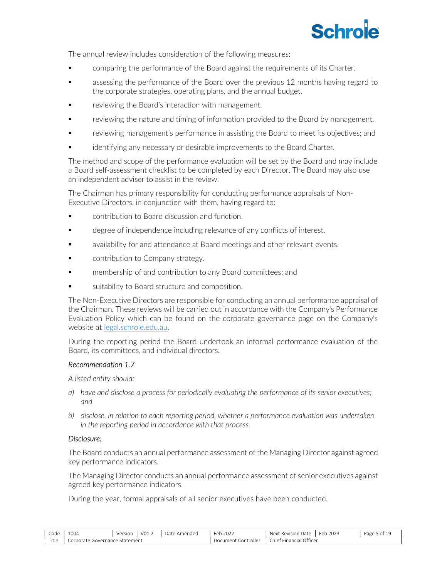# **Schrole**

The annual review includes consideration of the following measures:

- comparing the performance of the Board against the requirements of its Charter.
- assessing the performance of the Board over the previous 12 months having regard to the corporate strategies, operating plans, and the annual budget.
- reviewing the Board's interaction with management.
- reviewing the nature and timing of information provided to the Board by management.
- reviewing management's performance in assisting the Board to meet its objectives; and
- identifying any necessary or desirable improvements to the Board Charter.

The method and scope of the performance evaluation will be set by the Board and may include a Board self-assessment checklist to be completed by each Director. The Board may also use an independent adviser to assist in the review.

The Chairman has primary responsibility for conducting performance appraisals of Non-Executive Directors, in conjunction with them, having regard to:

- contribution to Board discussion and function.
- degree of independence including relevance of any conflicts of interest.
- availability for and attendance at Board meetings and other relevant events.
- contribution to Company strategy.
- membership of and contribution to any Board committees; and
- suitability to Board structure and composition.

The Non-Executive Directors are responsible for conducting an annual performance appraisal of the Chairman. These reviews will be carried out in accordance with the Company's Performance Evaluation Policy which can be found on the corporate governance page on the Company's website at legal.schrole.edu.au.

During the reporting period the Board undertook an informal performance evaluation of the Board, its committees, and individual directors.

# Recommendation 1.7

A listed entity should:

- a) have and disclose a process for periodically evaluating the performance of its senior executives; and
- b) disclose, in relation to each reporting period, whether a performance evaluation was undertaken in the reporting period in accordance with that process.

# Disclosure:

The Board conducts an annual performance assessment of the Managing Director against agreed key performance indicators.

The Managing Director conducts an annual performance assessment of senior executives against agreed key performance indicators.

During the year, formal appraisals of all senior executives have been conducted.

| -<br>Code | 1004                                   | Version | V01.2 | Dat<br>· Amended | 2022<br>$F^{\alpha}$<br>ັບ | $\sim$<br>Next<br>vision Date<br>Rev | 2022<br>Fer<br>2023<br>.cu | Page<br>- OT |
|-----------|----------------------------------------|---------|-------|------------------|----------------------------|--------------------------------------|----------------------------|--------------|
| Title     | · Statement<br>sovernance<br>Corporate |         |       |                  | <br>Controller<br>Document | Office<br>-<br>Chief<br>Financial    |                            |              |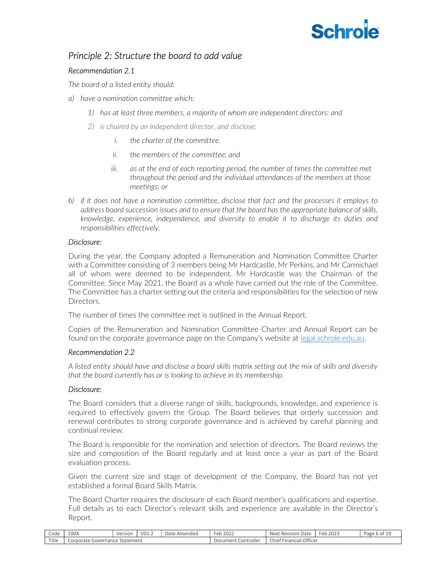# **Schrole**

# Principle 2: Structure the board to add value

# Recommendation 2.1

The board of a listed entity should:

- a) have a nomination committee which:
	- 1) has at least three members, a majority of whom are independent directors: and
	- 2) is chaired by an independent director, and disclose:
		- i. the charter of the committee.
		- ii. the members of the committee; and
		- iii. as at the end of each reporting period, the number of times the committee met throughout the period and the individual attendances of the members at those meetings; or
- b) if it does not have a nomination committee, disclose that fact and the processes it employs to address board succession issues and to ensure that the board has the appropriate balance of skills, knowledge, experience, independence, and diversity to enable it to discharge its duties and responsibilities effectively.

# Disclosure:

During the year, the Company adopted a Remuneration and Nomination Committee Charter with a Committee consisting of 3 members being Mr Hardcastle, Mr Perkins, and Mr Carmichael all of whom were deemed to be independent. Mr Hardcastle was the Chairman of the Committee. Since May 2021, the Board as a whole have carried out the role of the Committee. The Committee has a charter setting out the criteria and responsibilities for the selection of new Directors.

The number of times the committee met is outlined in the Annual Report.

Copies of the Remuneration and Nomination Committee Charter and Annual Report can be found on the corporate governance page on the Company's website at legal.schrole.edu.au.

# Recommendation 2.2

A listed entity should have and disclose a board skills matrix setting out the mix of skills and diversity that the board currently has or is looking to achieve in its membership.

# Disclosure:

The Board considers that a diverse range of skills, backgrounds, knowledge, and experience is required to effectively govern the Group. The Board believes that orderly succession and renewal contributes to strong corporate governance and is achieved by careful planning and continual review.

The Board is responsible for the nomination and selection of directors. The Board reviews the size and composition of the Board regularly and at least once a year as part of the Board evaluation process.

Given the current size and stage of development of the Company, the Board has not yet established a formal Board Skills Matrix.

The Board Charter requires the disclosure of each Board member's qualifications and expertise. Full details as to each Director's relevant skills and experience are available in the Director's Report.

| Code  | 1004                                       | Version | $'$ VO1.2 | Date<br>`Amendeo | $\sim$ $\sim$<br>Feb<br>2022 | Next<br>Date<br>Revision                | 2023<br>Feb | Page 6<br>OT. |
|-------|--------------------------------------------|---------|-----------|------------------|------------------------------|-----------------------------------------|-------------|---------------|
| Title | Statement<br>orporate<br>Governance<br>ا ب |         |           |                  | Controller<br>Jocument       | Officer<br>. hie†<br>Financie'<br>ual r |             |               |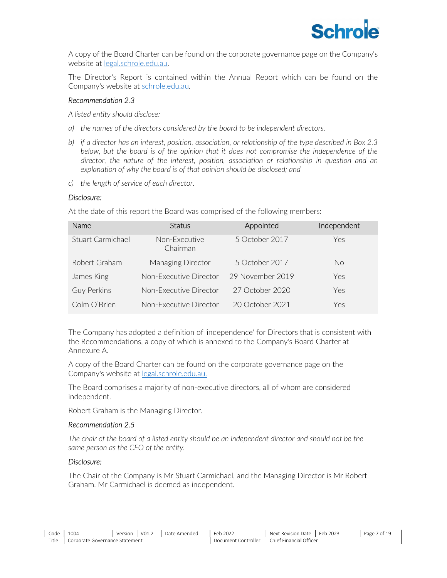

A copy of the Board Charter can be found on the corporate governance page on the Company's website at legal.schrole.edu.au.

The Director's Report is contained within the Annual Report which can be found on the Company's website at schrole.edu.au.

# Recommendation 2.3

A listed entity should disclose:

- a) the names of the directors considered by the board to be independent directors.
- b) if a director has an interest, position, association, or relationship of the type described in Box 2.3 below, but the board is of the opinion that it does not compromise the independence of the director, the nature of the interest, position, association or relationship in question and an explanation of why the board is of that opinion should be disclosed; and
- c) the length of service of each director.

#### Disclosure:

At the date of this report the Board was comprised of the following members:

| <b>Name</b>        | <b>Status</b>             | Appointed        | Independent |
|--------------------|---------------------------|------------------|-------------|
| Stuart Carmichael  | Non-Executive<br>Chairman | 5 October 2017   | Yes         |
| Robert Graham      | Managing Director         | 5 October 2017   | No.         |
| James King         | Non-Executive Director    | 29 November 2019 | Yes         |
| <b>Guy Perkins</b> | Non-Executive Director    | 27 October 2020  | Yes         |
| Colm O'Brien       | Non-Executive Director    | 20 October 2021  | Yes         |

The Company has adopted a definition of 'independence' for Directors that is consistent with the Recommendations, a copy of which is annexed to the Company's Board Charter at Annexure A.

A copy of the Board Charter can be found on the corporate governance page on the Company's website at legal.schrole.edu.au.

The Board comprises a majority of non-executive directors, all of whom are considered independent.

Robert Graham is the Managing Director.

# Recommendation 2.5

The chair of the board of a listed entity should be an independent director and should not be the same person as the CEO of the entity.

#### Disclosure:

The Chair of the Company is Mr Stuart Carmichael, and the Managing Director is Mr Robert Graham. Mr Carmichael is deemed as independent.

| Code  | 1004                    | Version     | VO1.2 | Dat<br>Amendec | Feb<br>$\sim$ $\sim$ $\sim$<br>ZOZZ | -<br>: Revision Date<br>Next               | 2023<br>ᄾ<br>$\cdots$ | Jage |
|-------|-------------------------|-------------|-------|----------------|-------------------------------------|--------------------------------------------|-----------------------|------|
| Title | Governance<br>Corporate | : Statement |       |                | it Controller<br>Documen*           | Office<br>$-$<br>Chief<br><b>Financial</b> |                       |      |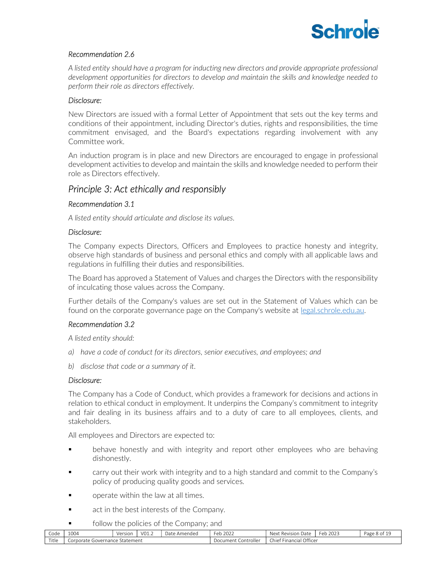

# Recommendation 2.6

A listed entity should have a program for inducting new directors and provide appropriate professional development opportunities for directors to develop and maintain the skills and knowledge needed to perform their role as directors effectively.

# Disclosure:

New Directors are issued with a formal Letter of Appointment that sets out the key terms and conditions of their appointment, including Director's duties, rights and responsibilities, the time commitment envisaged, and the Board's expectations regarding involvement with any Committee work.

An induction program is in place and new Directors are encouraged to engage in professional development activities to develop and maintain the skills and knowledge needed to perform their role as Directors effectively.

# Principle 3: Act ethically and responsibly

# Recommendation 3.1

A listed entity should articulate and disclose its values.

#### Disclosure:

The Company expects Directors, Officers and Employees to practice honesty and integrity, observe high standards of business and personal ethics and comply with all applicable laws and regulations in fulfilling their duties and responsibilities.

The Board has approved a Statement of Values and charges the Directors with the responsibility of inculcating those values across the Company.

Further details of the Company's values are set out in the Statement of Values which can be found on the corporate governance page on the Company's website at legal.schrole.edu.au.

# Recommendation 3.2

A listed entity should:

- a) have a code of conduct for its directors, senior executives, and employees; and
- b) disclose that code or a summary of it.

# Disclosure:

The Company has a Code of Conduct, which provides a framework for decisions and actions in relation to ethical conduct in employment. It underpins the Company's commitment to integrity and fair dealing in its business affairs and to a duty of care to all employees, clients, and stakeholders.

All employees and Directors are expected to:

- **•** behave honestly and with integrity and report other employees who are behaving dishonestly.
- carry out their work with integrity and to a high standard and commit to the Company's policy of producing quality goods and services.
- operate within the law at all times.
- act in the best interests of the Company.
- **follow the policies of the Company; and**

| Code  | 1004                                   | Version | VO1.2 | Date<br>Amended | $\sim$<br>2022<br>Feb     | $\sim$<br>Next<br>Date<br>" Revision                                    | 2022<br>⊬≏⊢<br>2023<br>U.L. | Page<br>. 8 of " |
|-------|----------------------------------------|---------|-------|-----------------|---------------------------|-------------------------------------------------------------------------|-----------------------------|------------------|
| Title | Statement<br>Governance<br>`orporate . |         |       |                 | Controller<br>`` ocument- | Officer<br>$\epsilon =$<br>Chief<br><sup>**</sup> Financia <sub>l</sub> |                             |                  |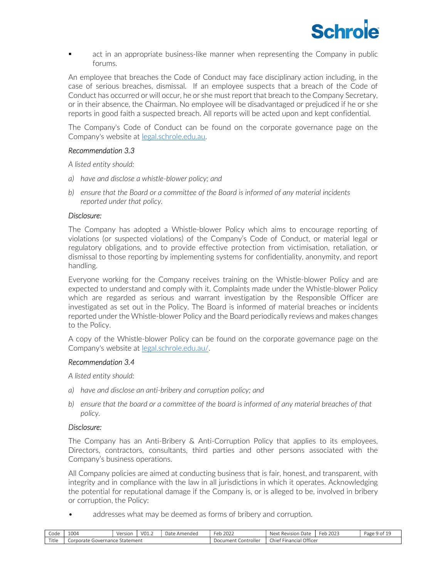

**•** act in an appropriate business-like manner when representing the Company in public forums.

An employee that breaches the Code of Conduct may face disciplinary action including, in the case of serious breaches, dismissal. If an employee suspects that a breach of the Code of Conduct has occurred or will occur, he or she must report that breach to the Company Secretary, or in their absence, the Chairman. No employee will be disadvantaged or prejudiced if he or she reports in good faith a suspected breach. All reports will be acted upon and kept confidential.

The Company's Code of Conduct can be found on the corporate governance page on the Company's website at legal.schrole.edu.au.

#### Recommendation 3.3

A listed entity should:

- a) have and disclose a whistle-blower policy; and
- b) ensure that the Board or a committee of the Board is informed of any material incidents reported under that policy.

#### Disclosure:

The Company has adopted a Whistle-blower Policy which aims to encourage reporting of violations (or suspected violations) of the Company's Code of Conduct, or material legal or regulatory obligations, and to provide effective protection from victimisation, retaliation, or dismissal to those reporting by implementing systems for confidentiality, anonymity, and report handling.

Everyone working for the Company receives training on the Whistle-blower Policy and are expected to understand and comply with it. Complaints made under the Whistle-blower Policy which are regarded as serious and warrant investigation by the Responsible Officer are investigated as set out in the Policy. The Board is informed of material breaches or incidents reported under the Whistle-blower Policy and the Board periodically reviews and makes changes to the Policy.

A copy of the Whistle-blower Policy can be found on the corporate governance page on the Company's website at legal.schrole.edu.au/.

#### Recommendation 3.4

A listed entity should:

- a) have and disclose an anti-bribery and corruption policy; and
- b) ensure that the board or a committee of the board is informed of any material breaches of that policy.

#### Disclosure:

The Company has an Anti-Bribery & Anti-Corruption Policy that applies to its employees, Directors, contractors, consultants, third parties and other persons associated with the Company's business operations.

All Company policies are aimed at conducting business that is fair, honest, and transparent, with integrity and in compliance with the law in all jurisdictions in which it operates. Acknowledging the potential for reputational damage if the Company is, or is alleged to be, involved in bribery or corruption, the Policy:

addresses what may be deemed as forms of bribery and corruption.

| Code  | 1004                                   | Versior | V01.2 | Jate<br>Amended | eb 2022<br>-ob-        | Next<br>: Revisior<br>Date        | 2023<br>$\sim$<br>Feb | Page<br>9 of |
|-------|----------------------------------------|---------|-------|-----------------|------------------------|-----------------------------------|-----------------------|--------------|
| Title | : Statement<br>Corporate<br>Governance |         |       |                 | Controller<br>Document | Financial Officer<br><b>Chief</b> |                       |              |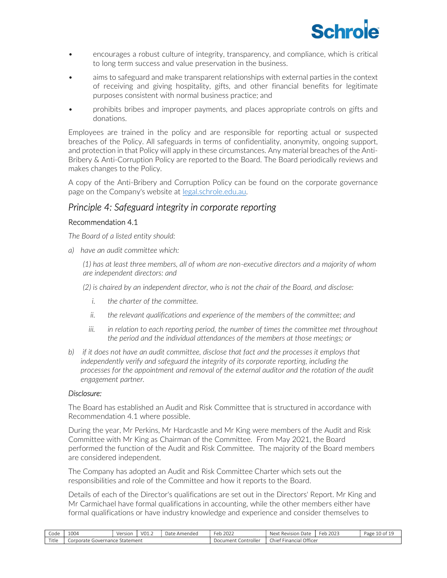

- encourages a robust culture of integrity, transparency, and compliance, which is critical to long term success and value preservation in the business.
- aims to safeguard and make transparent relationships with external parties in the context of receiving and giving hospitality, gifts, and other financial benefits for legitimate purposes consistent with normal business practice; and
- prohibits bribes and improper payments, and places appropriate controls on gifts and donations.

Employees are trained in the policy and are responsible for reporting actual or suspected breaches of the Policy. All safeguards in terms of confidentiality, anonymity, ongoing support, and protection in that Policy will apply in these circumstances. Any material breaches of the Anti-Bribery & Anti-Corruption Policy are reported to the Board. The Board periodically reviews and makes changes to the Policy.

A copy of the Anti-Bribery and Corruption Policy can be found on the corporate governance page on the Company's website at legal.schrole.edu.au.

# Principle 4: Safeguard integrity in corporate reporting

# Recommendation 4.1

The Board of a listed entity should:

a) have an audit committee which:

(1) has at least three members, all of whom are non-executive directors and a majority of whom are independent directors: and

(2) is chaired by an independent director, who is not the chair of the Board, and disclose:

- i. the charter of the committee.
- ii. the relevant qualifications and experience of the members of the committee; and
- iii. in relation to each reporting period, the number of times the committee met throughout the period and the individual attendances of the members at those meetings; or
- b) if it does not have an audit committee, disclose that fact and the processes it employs that independently verify and safeguard the integrity of its corporate reporting, including the processes for the appointment and removal of the external auditor and the rotation of the audit engagement partner.

# Disclosure:

The Board has established an Audit and Risk Committee that is structured in accordance with Recommendation 4.1 where possible.

During the year, Mr Perkins, Mr Hardcastle and Mr King were members of the Audit and Risk Committee with Mr King as Chairman of the Committee. From May 2021, the Board performed the function of the Audit and Risk Committee. The majority of the Board members are considered independent.

The Company has adopted an Audit and Risk Committee Charter which sets out the responsibilities and role of the Committee and how it reports to the Board.

Details of each of the Director's qualifications are set out in the Directors' Report. Mr King and Mr Carmichael have formal qualifications in accounting, while the other members either have formal qualifications or have industry knowledge and experience and consider themselves to

| Code  | 1004                                | Version | VO1.2 | Dat<br>: Amended | 202<br><sup>⊏</sup> eb<br>ZUZZ | Revision<br>Date<br>Next            | $\sim$<br>$202-$<br>-er<br>ZUZ.<br>$\sim$ 1. $\sigma$ | Page |
|-------|-------------------------------------|---------|-------|------------------|--------------------------------|-------------------------------------|-------------------------------------------------------|------|
| Title | Statement<br>orporate<br>Governance |         |       |                  | Controller<br>.)ocument        | Office<br>. .<br>:hief<br>Financial |                                                       |      |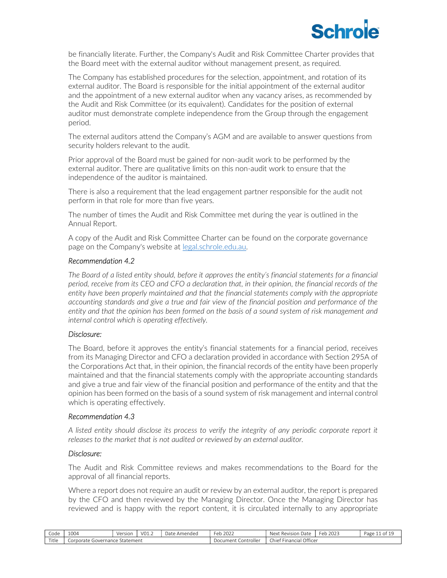

be financially literate. Further, the Company's Audit and Risk Committee Charter provides that the Board meet with the external auditor without management present, as required.

The Company has established procedures for the selection, appointment, and rotation of its external auditor. The Board is responsible for the initial appointment of the external auditor and the appointment of a new external auditor when any vacancy arises, as recommended by the Audit and Risk Committee (or its equivalent). Candidates for the position of external auditor must demonstrate complete independence from the Group through the engagement period.

The external auditors attend the Company's AGM and are available to answer questions from security holders relevant to the audit.

Prior approval of the Board must be gained for non-audit work to be performed by the external auditor. There are qualitative limits on this non-audit work to ensure that the independence of the auditor is maintained.

There is also a requirement that the lead engagement partner responsible for the audit not perform in that role for more than five years.

The number of times the Audit and Risk Committee met during the year is outlined in the Annual Report.

A copy of the Audit and Risk Committee Charter can be found on the corporate governance page on the Company's website at legal.schrole.edu.au.

#### Recommendation 4.2

The Board of a listed entity should, before it approves the entity's financial statements for a financial period, receive from its CEO and CFO a declaration that, in their opinion, the financial records of the entity have been properly maintained and that the financial statements comply with the appropriate accounting standards and give a true and fair view of the financial position and performance of the entity and that the opinion has been formed on the basis of a sound system of risk management and internal control which is operating effectively.

#### Disclosure:

The Board, before it approves the entity's financial statements for a financial period, receives from its Managing Director and CFO a declaration provided in accordance with Section 295A of the Corporations Act that, in their opinion, the financial records of the entity have been properly maintained and that the financial statements comply with the appropriate accounting standards and give a true and fair view of the financial position and performance of the entity and that the opinion has been formed on the basis of a sound system of risk management and internal control which is operating effectively.

#### Recommendation 4.3

A listed entity should disclose its process to verify the integrity of any periodic corporate report it releases to the market that is not audited or reviewed by an external auditor.

# Disclosure:

The Audit and Risk Committee reviews and makes recommendations to the Board for the approval of all financial reports.

Where a report does not require an audit or review by an external auditor, the report is prepared by the CFO and then reviewed by the Managing Director. Once the Managing Director has reviewed and is happy with the report content, it is circulated internally to any appropriate

| Code  | 1004                                  | Version | V01.2 | $D2 + C$<br>Amended<br>Dal | 2022<br>طہ -<br>cv       | Date<br>* Revision<br>Next                  | $\sim$<br>2023<br>Fer<br>$\sim$ | Page<br>O1 |
|-------|---------------------------------------|---------|-------|----------------------------|--------------------------|---------------------------------------------|---------------------------------|------------|
| Title | Statement<br>Corporate<br>sjovernance |         |       |                            | . Controller<br>Document | Officer<br>.<br>Chief 1<br><b>Financial</b> |                                 |            |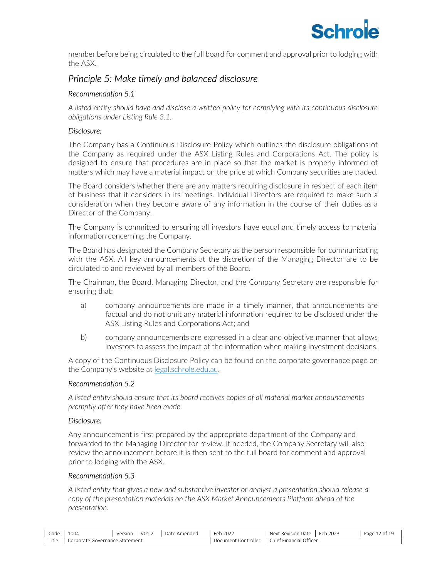

member before being circulated to the full board for comment and approval prior to lodging with the ASX.

# Principle 5: Make timely and balanced disclosure

# Recommendation 5.1

A listed entity should have and disclose a written policy for complying with its continuous disclosure obligations under Listing Rule 3.1.

# Disclosure:

The Company has a Continuous Disclosure Policy which outlines the disclosure obligations of the Company as required under the ASX Listing Rules and Corporations Act. The policy is designed to ensure that procedures are in place so that the market is properly informed of matters which may have a material impact on the price at which Company securities are traded.

The Board considers whether there are any matters requiring disclosure in respect of each item of business that it considers in its meetings. Individual Directors are required to make such a consideration when they become aware of any information in the course of their duties as a Director of the Company.

The Company is committed to ensuring all investors have equal and timely access to material information concerning the Company.

The Board has designated the Company Secretary as the person responsible for communicating with the ASX. All key announcements at the discretion of the Managing Director are to be circulated to and reviewed by all members of the Board.

The Chairman, the Board, Managing Director, and the Company Secretary are responsible for ensuring that:

- a) company announcements are made in a timely manner, that announcements are factual and do not omit any material information required to be disclosed under the ASX Listing Rules and Corporations Act; and
- b) company announcements are expressed in a clear and objective manner that allows investors to assess the impact of the information when making investment decisions.

A copy of the Continuous Disclosure Policy can be found on the corporate governance page on the Company's website at legal.schrole.edu.au.

# Recommendation 5.2

A listed entity should ensure that its board receives copies of all material market announcements promptly after they have been made.

# Disclosure:

Any announcement is first prepared by the appropriate department of the Company and forwarded to the Managing Director for review. If needed, the Company Secretary will also review the announcement before it is then sent to the full board for comment and approval prior to lodging with the ASX.

# Recommendation 5.3

A listed entity that gives a new and substantive investor or analyst a presentation should release a copy of the presentation materials on the ASX Market Announcements Platform ahead of the presentation.

| Code  | 1004                                   | Version | VO1.2 | Date<br>Amended | 202<br>$-$<br>Feb<br>2022 | Next .<br>Date<br>Revision               | Feb<br>$\bigcap_{n\in\mathbb{N}}\bigcap_{n\in\mathbb{N}}\bigcap_{n\in\mathbb{N}}\bigcap_{n\in\mathbb{N}}\bigcap_{n\in\mathbb{N}}\bigcap_{n\in\mathbb{N}}\bigcap_{n\in\mathbb{N}}\bigcap_{n\in\mathbb{N}}\bigcap_{n\in\mathbb{N}}\bigcap_{n\in\mathbb{N}}\bigcap_{n\in\mathbb{N}}\bigcap_{n\in\mathbb{N}}\bigcap_{n\in\mathbb{N}}\bigcap_{n\in\mathbb{N}}\bigcap_{n\in\mathbb{N}}\bigcap_{n\in\mathbb{N}}\bigcap_{n\in\mathbb{N$<br>2023 | Page<br>0t |
|-------|----------------------------------------|---------|-------|-----------------|---------------------------|------------------------------------------|-----------------------------------------------------------------------------------------------------------------------------------------------------------------------------------------------------------------------------------------------------------------------------------------------------------------------------------------------------------------------------------------------------------------------------------------|------------|
| Title | Statement<br>corporate :<br>Governance |         |       |                 | . Controller<br>Document  | Officer<br>$-1$<br>Chief i<br>`Financiai |                                                                                                                                                                                                                                                                                                                                                                                                                                         |            |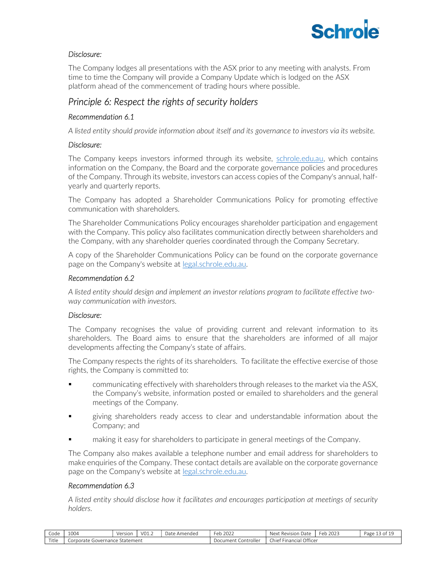

# Disclosure:

The Company lodges all presentations with the ASX prior to any meeting with analysts. From time to time the Company will provide a Company Update which is lodged on the ASX platform ahead of the commencement of trading hours where possible.

# Principle 6: Respect the rights of security holders

# Recommendation 6.1

A listed entity should provide information about itself and its governance to investors via its website.

# Disclosure:

The Company keeps investors informed through its website, schrole.edu.au, which contains information on the Company, the Board and the corporate governance policies and procedures of the Company. Through its website, investors can access copies of the Company's annual, halfyearly and quarterly reports.

The Company has adopted a Shareholder Communications Policy for promoting effective communication with shareholders.

The Shareholder Communications Policy encourages shareholder participation and engagement with the Company. This policy also facilitates communication directly between shareholders and the Company, with any shareholder queries coordinated through the Company Secretary.

A copy of the Shareholder Communications Policy can be found on the corporate governance page on the Company's website at legal.schrole.edu.au.

# Recommendation 6.2

A listed entity should design and implement an investor relations program to facilitate effective twoway communication with investors.

# Disclosure:

The Company recognises the value of providing current and relevant information to its shareholders. The Board aims to ensure that the shareholders are informed of all major developments affecting the Company's state of affairs.

The Company respects the rights of its shareholders. To facilitate the effective exercise of those rights, the Company is committed to:

- communicating effectively with shareholders through releases to the market via the ASX, the Company's website, information posted or emailed to shareholders and the general meetings of the Company.
- giving shareholders ready access to clear and understandable information about the Company; and
- making it easy for shareholders to participate in general meetings of the Company.

The Company also makes available a telephone number and email address for shareholders to make enquiries of the Company. These contact details are available on the corporate governance page on the Company's website at legal.schrole.edu.au.

# Recommendation 6.3

A listed entity should disclose how it facilitates and encourages participation at meetings of security holders.

| Code  | 1004      | Version<br>VEISIUII    | $\cdot$ VO1.4 | Date<br><u>e Amendec</u> | Feb<br>2022 | Next<br>Date<br>Revision                        | 2023<br>⊢er | Page<br>0t |
|-------|-----------|------------------------|---------------|--------------------------|-------------|-------------------------------------------------|-------------|------------|
| Title | .orporate | Statement<br>overnance |               |                          |             | Office <sup>®</sup><br>$-$<br>Chie<br>Financial |             |            |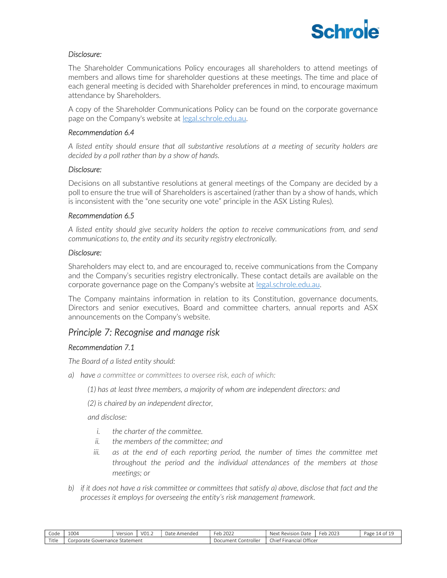

# Disclosure:

The Shareholder Communications Policy encourages all shareholders to attend meetings of members and allows time for shareholder questions at these meetings. The time and place of each general meeting is decided with Shareholder preferences in mind, to encourage maximum attendance by Shareholders.

A copy of the Shareholder Communications Policy can be found on the corporate governance page on the Company's website at legal.schrole.edu.au.

# Recommendation 6.4

A listed entity should ensure that all substantive resolutions at a meeting of security holders are decided by a poll rather than by a show of hands.

# Disclosure:

Decisions on all substantive resolutions at general meetings of the Company are decided by a poll to ensure the true will of Shareholders is ascertained (rather than by a show of hands, which is inconsistent with the "one security one vote" principle in the ASX Listing Rules).

# Recommendation 6.5

A listed entity should give security holders the option to receive communications from, and send communications to, the entity and its security registry electronically.

# Disclosure:

Shareholders may elect to, and are encouraged to, receive communications from the Company and the Company's securities registry electronically. These contact details are available on the corporate governance page on the Company's website at legal.schrole.edu.au.

The Company maintains information in relation to its Constitution, governance documents, Directors and senior executives, Board and committee charters, annual reports and ASX announcements on the Company's website.

# Principle 7: Recognise and manage risk

# Recommendation 7.1

The Board of a listed entity should:

- a) have a committee or committees to oversee risk, each of which:
	- (1) has at least three members, a majority of whom are independent directors: and
	- (2) is chaired by an independent director,

and disclose:

- i. the charter of the committee.
- ii. the members of the committee; and
- iii. as at the end of each reporting period, the number of times the committee met throughout the period and the individual attendances of the members at those meetings; or
- b) if it does not have a risk committee or committees that satisfy a) above, disclose that fact and the processes it employs for overseeing the entity's risk management framework.

| Code  | 1004                                 | Version | V01.2 | $D2 + \alpha$<br>Amended<br>Dal | 2022<br>∃∩h<br>cυ      | ` Revision<br>Date<br>Next                          | $\sim$<br>202<br>Fer<br>ZUZ3<br>$-11$ | Page<br>ומ 14 |
|-------|--------------------------------------|---------|-------|---------------------------------|------------------------|-----------------------------------------------------|---------------------------------------|---------------|
| Title | Statement<br>Governance<br>Corporate |         |       |                                 | Controller<br>Document | Officer<br>$\sim$ $-$<br>Chief.<br><b>Financial</b> |                                       |               |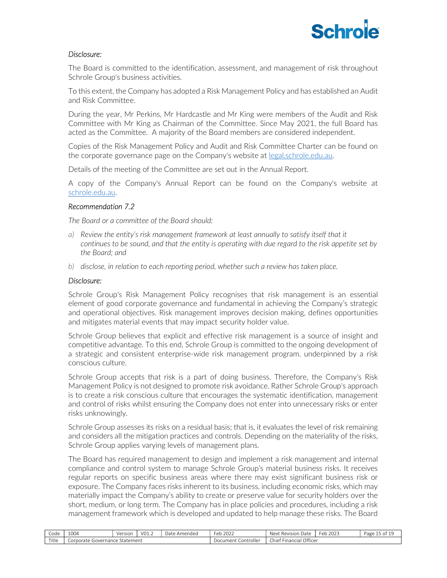

# Disclosure:

The Board is committed to the identification, assessment, and management of risk throughout Schrole Group's business activities.

To this extent, the Company has adopted a Risk Management Policy and has established an Audit and Risk Committee.

During the year, Mr Perkins, Mr Hardcastle and Mr King were members of the Audit and Risk Committee with Mr King as Chairman of the Committee. Since May 2021, the full Board has acted as the Committee. A majority of the Board members are considered independent.

Copies of the Risk Management Policy and Audit and Risk Committee Charter can be found on the corporate governance page on the Company's website at legal.schrole.edu.au.

Details of the meeting of the Committee are set out in the Annual Report.

A copy of the Company's Annual Report can be found on the Company's website at schrole.edu.au.

# Recommendation 7.2

The Board or a committee of the Board should:

- a) Review the entity's risk management framework at least annually to satisfy itself that it continues to be sound, and that the entity is operating with due regard to the risk appetite set by the Board; and
- b) disclose, in relation to each reporting period, whether such a review has taken place.

#### Disclosure:

Schrole Group's Risk Management Policy recognises that risk management is an essential element of good corporate governance and fundamental in achieving the Company's strategic and operational objectives. Risk management improves decision making, defines opportunities and mitigates material events that may impact security holder value.

Schrole Group believes that explicit and effective risk management is a source of insight and competitive advantage. To this end, Schrole Group is committed to the ongoing development of a strategic and consistent enterprise-wide risk management program, underpinned by a risk conscious culture.

Schrole Group accepts that risk is a part of doing business. Therefore, the Company's Risk Management Policy is not designed to promote risk avoidance. Rather Schrole Group's approach is to create a risk conscious culture that encourages the systematic identification, management and control of risks whilst ensuring the Company does not enter into unnecessary risks or enter risks unknowingly.

Schrole Group assesses its risks on a residual basis; that is, it evaluates the level of risk remaining and considers all the mitigation practices and controls. Depending on the materiality of the risks, Schrole Group applies varying levels of management plans.

The Board has required management to design and implement a risk management and internal compliance and control system to manage Schrole Group's material business risks. It receives regular reports on specific business areas where there may exist significant business risk or exposure. The Company faces risks inherent to its business, including economic risks, which may materially impact the Company's ability to create or preserve value for security holders over the short, medium, or long term. The Company has in place policies and procedures, including a risk management framework which is developed and updated to help manage these risks. The Board

| Code  | 1004                                 | Version | V01.2 | $D2 + \alpha$<br>Amended<br>Dal | 2022<br>∃∩h<br>cυ      | ` Revision<br>Date<br>Next                          | $\sim$<br>202<br>Fer<br>ZUZ3<br>$-111$ | $\sim$ $\sim$<br>Page<br>- 01 |
|-------|--------------------------------------|---------|-------|---------------------------------|------------------------|-----------------------------------------------------|----------------------------------------|-------------------------------|
| Title | Statement<br>Governance<br>Corporate |         |       |                                 | Controller<br>Document | Officer<br>$\sim$ $-$<br>Chief.<br><b>Financial</b> |                                        |                               |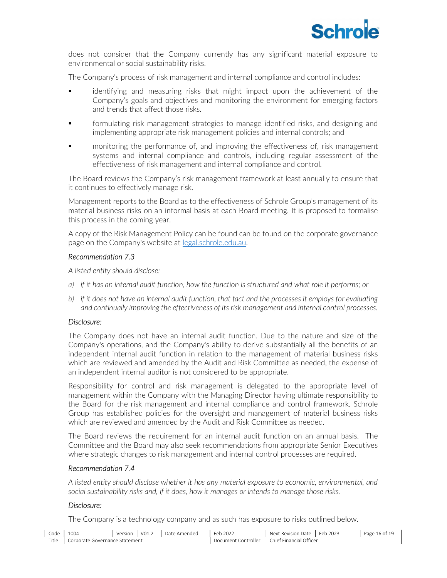

does not consider that the Company currently has any significant material exposure to environmental or social sustainability risks.

The Company's process of risk management and internal compliance and control includes:

- identifying and measuring risks that might impact upon the achievement of the Company's goals and objectives and monitoring the environment for emerging factors and trends that affect those risks.
- formulating risk management strategies to manage identified risks, and designing and implementing appropriate risk management policies and internal controls; and
- monitoring the performance of, and improving the effectiveness of, risk management systems and internal compliance and controls, including regular assessment of the effectiveness of risk management and internal compliance and control.

The Board reviews the Company's risk management framework at least annually to ensure that it continues to effectively manage risk.

Management reports to the Board as to the effectiveness of Schrole Group's management of its material business risks on an informal basis at each Board meeting. It is proposed to formalise this process in the coming year.

A copy of the Risk Management Policy can be found can be found on the corporate governance page on the Company's website at legal.schrole.edu.au.

# Recommendation 7.3

A listed entity should disclose:

- a) if it has an internal audit function, how the function is structured and what role it performs; or
- b) if it does not have an internal audit function, that fact and the processes it employs for evaluating and continually improving the effectiveness of its risk management and internal control processes.

# Disclosure:

The Company does not have an internal audit function. Due to the nature and size of the Company's operations, and the Company's ability to derive substantially all the benefits of an independent internal audit function in relation to the management of material business risks which are reviewed and amended by the Audit and Risk Committee as needed, the expense of an independent internal auditor is not considered to be appropriate.

Responsibility for control and risk management is delegated to the appropriate level of management within the Company with the Managing Director having ultimate responsibility to the Board for the risk management and internal compliance and control framework. Schrole Group has established policies for the oversight and management of material business risks which are reviewed and amended by the Audit and Risk Committee as needed.

The Board reviews the requirement for an internal audit function on an annual basis. The Committee and the Board may also seek recommendations from appropriate Senior Executives where strategic changes to risk management and internal control processes are required.

# Recommendation 7.4

A listed entity should disclose whether it has any material exposure to economic, environmental, and social sustainability risks and, if it does, how it manages or intends to manage those risks.

# Disclosure:

The Company is a technology company and as such has exposure to risks outlined below.

| $\sim$<br>Code              | 1004                                        | Version | $'$ VO1. | Jate<br>: Amended | 202<br>⊦eb<br>2022     | Revision<br>Next<br>Date     | $\sim$<br>202<br>⊦er<br>ZUZJ<br>$\sim$ 1. $\sigma$ | Page<br>$\cdot$ |
|-----------------------------|---------------------------------------------|---------|----------|-------------------|------------------------|------------------------------|----------------------------------------------------|-----------------|
| ەل+ئ<br>. I LI <del>C</del> | Statement<br>Governance<br>.orporate<br>. 1 |         |          |                   | Controller<br>.)ocumen | Office<br>:hief<br>rinancial |                                                    |                 |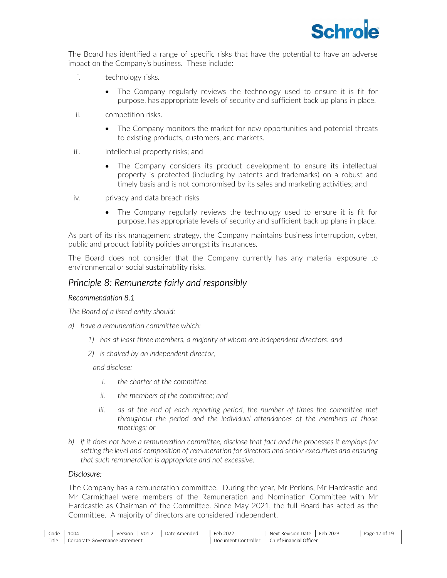

The Board has identified a range of specific risks that have the potential to have an adverse impact on the Company's business. These include:

- i. technology risks.
	- The Company regularly reviews the technology used to ensure it is fit for purpose, has appropriate levels of security and sufficient back up plans in place.
- ii. competition risks.
	- The Company monitors the market for new opportunities and potential threats to existing products, customers, and markets.
- iii. intellectual property risks; and
	- The Company considers its product development to ensure its intellectual property is protected (including by patents and trademarks) on a robust and timely basis and is not compromised by its sales and marketing activities; and
- iv. privacy and data breach risks
	- The Company regularly reviews the technology used to ensure it is fit for purpose, has appropriate levels of security and sufficient back up plans in place.

As part of its risk management strategy, the Company maintains business interruption, cyber, public and product liability policies amongst its insurances.

The Board does not consider that the Company currently has any material exposure to environmental or social sustainability risks.

# Principle 8: Remunerate fairly and responsibly

# Recommendation 8.1

The Board of a listed entity should:

- a) have a remuneration committee which:
	- 1) has at least three members, a majority of whom are independent directors: and
	- 2) is chaired by an independent director,

and disclose:

- i. the charter of the committee.
- ii. the members of the committee; and
- iii. as at the end of each reporting period, the number of times the committee met throughout the period and the individual attendances of the members at those meetings; or
- b) if it does not have a remuneration committee, disclose that fact and the processes it employs for setting the level and composition of remuneration for directors and senior executives and ensuring that such remuneration is appropriate and not excessive.

# Disclosure:

The Company has a remuneration committee. During the year, Mr Perkins, Mr Hardcastle and Mr Carmichael were members of the Remuneration and Nomination Committee with Mr Hardcastle as Chairman of the Committee. Since May 2021, the full Board has acted as the Committee. A majority of directors are considered independent.

| Code  | $\Delta$ $\Delta$ $\Delta$<br>⊥∪∪4          | Version | VO1.2 | ヿっ†へ<br>Amended<br>Dd I | 2022<br>طط<br>cν         | ' Revision<br>Next<br>Date                 | $\sim$<br>202<br>⊦er<br>ZUZJ<br>$\sim$ 1.7 | $\overline{\phantom{a}}$<br>Page<br>. . |
|-------|---------------------------------------------|---------|-------|-------------------------|--------------------------|--------------------------------------------|--------------------------------------------|-----------------------------------------|
| Title | Statement<br>.iance<br>Corporate<br>novern. |         |       |                         | Controller<br>. Jocumen' | Officer<br>.<br>chief.<br><b>Financial</b> |                                            |                                         |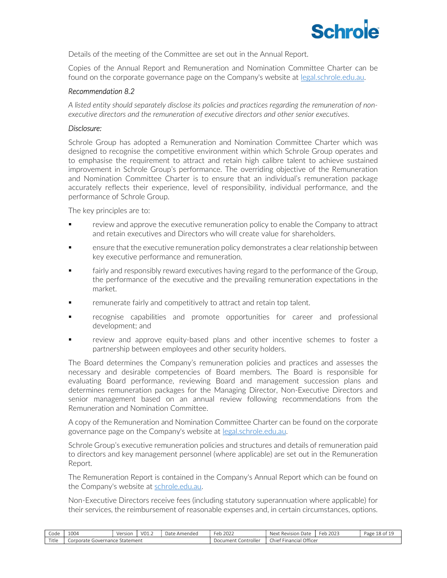

Details of the meeting of the Committee are set out in the Annual Report.

Copies of the Annual Report and Remuneration and Nomination Committee Charter can be found on the corporate governance page on the Company's website at legal.schrole.edu.au.

# Recommendation 8.2

A listed entity should separately disclose its policies and practices regarding the remuneration of nonexecutive directors and the remuneration of executive directors and other senior executives.

# Disclosure:

Schrole Group has adopted a Remuneration and Nomination Committee Charter which was designed to recognise the competitive environment within which Schrole Group operates and to emphasise the requirement to attract and retain high calibre talent to achieve sustained improvement in Schrole Group's performance. The overriding objective of the Remuneration and Nomination Committee Charter is to ensure that an individual's remuneration package accurately reflects their experience, level of responsibility, individual performance, and the performance of Schrole Group.

The key principles are to:

- review and approve the executive remuneration policy to enable the Company to attract and retain executives and Directors who will create value for shareholders.
- ensure that the executive remuneration policy demonstrates a clear relationship between key executive performance and remuneration.
- **Fairly and responsibly reward executives having regard to the performance of the Group,** the performance of the executive and the prevailing remuneration expectations in the market.
- remunerate fairly and competitively to attract and retain top talent.
- recognise capabilities and promote opportunities for career and professional development; and
- review and approve equity-based plans and other incentive schemes to foster a partnership between employees and other security holders.

The Board determines the Company's remuneration policies and practices and assesses the necessary and desirable competencies of Board members. The Board is responsible for evaluating Board performance, reviewing Board and management succession plans and determines remuneration packages for the Managing Director, Non-Executive Directors and senior management based on an annual review following recommendations from the Remuneration and Nomination Committee.

A copy of the Remuneration and Nomination Committee Charter can be found on the corporate governance page on the Company's website at legal.schrole.edu.au.

Schrole Group's executive remuneration policies and structures and details of remuneration paid to directors and key management personnel (where applicable) are set out in the Remuneration Report.

The Remuneration Report is contained in the Company's Annual Report which can be found on the Company's website at schrole.edu.au.

Non-Executive Directors receive fees (including statutory superannuation where applicable) for their services, the reimbursement of reasonable expenses and, in certain circumstances, options.

| Code  | 1004                                   | Versior | V01.2 | Date<br>Amended | 2022<br>- ob<br>◡                    | ' Revisior<br>Next<br>Date               | $\sim$<br>2023<br>Feb | 10<br>Page<br>ΩU. |
|-------|----------------------------------------|---------|-------|-----------------|--------------------------------------|------------------------------------------|-----------------------|-------------------|
| Title | · Statement<br>Governance<br>Corporate |         |       |                 | .ontroller<br>Jocument<br>. <i>.</i> | Officer<br><b>Chief</b><br>* Financial J |                       |                   |